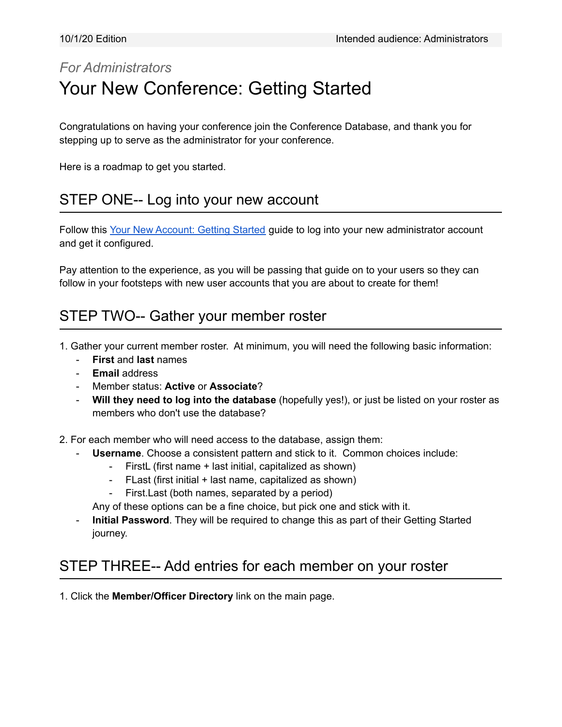## *For Administrators* Your New Conference: Getting Started

Congratulations on having your conference join the Conference Database, and thank you for stepping up to serve as the administrator for your conference.

Here is a roadmap to get you started.

#### STEP ONE-- Log into your new account

Follow this Your New [Account:](https://drive.google.com/open?id=1yjGyhyu_urMqEnVmxoz3sDbReovURNHCaZipahuyjjc) Getting Started guide to log into your new administrator account and get it configured.

Pay attention to the experience, as you will be passing that guide on to your users so they can follow in your footsteps with new user accounts that you are about to create for them!

### STEP TWO-- Gather your member roster

- 1. Gather your current member roster. At minimum, you will need the following basic information:
	- **First** and **last** names
	- **Email** address
	- Member status: **Active** or **Associate**?
	- **Will they need to log into the database** (hopefully yes!), or just be listed on your roster as members who don't use the database?

2. For each member who will need access to the database, assign them:

- **Username**. Choose a consistent pattern and stick to it. Common choices include:
	- FirstL (first name + last initial, capitalized as shown)
	- FLast (first initial + last name, capitalized as shown)
	- First.Last (both names, separated by a period)

Any of these options can be a fine choice, but pick one and stick with it.

- **Initial Password**. They will be required to change this as part of their Getting Started journey.

### STEP THREE-- Add entries for each member on your roster

1. Click the **Member/Officer Directory** link on the main page.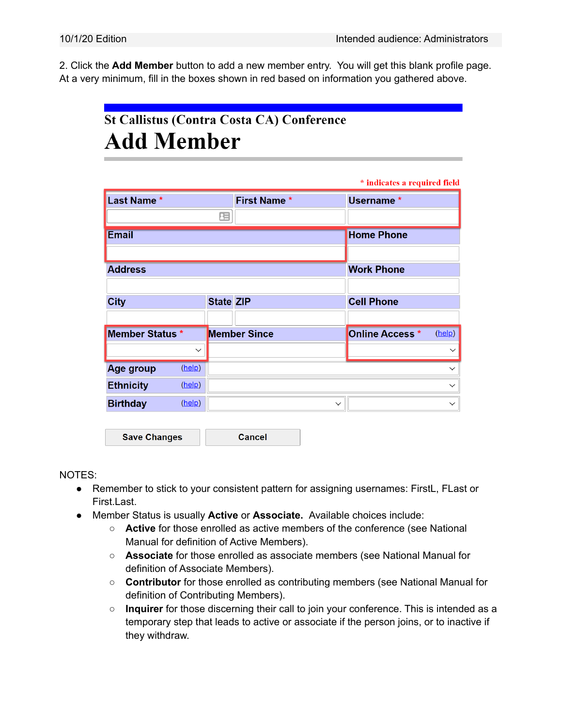2. Click the **Add Member** button to add a new member entry. You will get this blank profile page. At a very minimum, fill in the boxes shown in red based on information you gathered above.

# **St Callistus (Contra Costa CA) Conference Add Member**

|                  |              |                     |                     |                                  | * indicates a required field |
|------------------|--------------|---------------------|---------------------|----------------------------------|------------------------------|
| Last Name *      |              |                     | <b>First Name *</b> |                                  | Username*                    |
|                  |              | 蛋                   |                     |                                  |                              |
| <b>Email</b>     |              |                     |                     |                                  | <b>Home Phone</b>            |
|                  |              |                     |                     |                                  |                              |
| <b>Address</b>   |              |                     |                     | <b>Work Phone</b>                |                              |
|                  |              |                     |                     |                                  |                              |
| <b>City</b>      |              | <b>State ZIP</b>    |                     | <b>Cell Phone</b>                |                              |
|                  |              |                     |                     |                                  |                              |
| Member Status *  |              | <b>Member Since</b> |                     | <b>Online Access</b> *<br>(help) |                              |
|                  | $\checkmark$ |                     |                     |                                  | $\checkmark$                 |
| Age group        | (help)       |                     |                     |                                  | $\checkmark$                 |
| <b>Ethnicity</b> | (help)       |                     |                     |                                  | $\checkmark$                 |
| <b>Birthday</b>  | (help)       | $\checkmark$        |                     |                                  | $\checkmark$                 |

**Save Changes Cancel** 

NOTES:

- Remember to stick to your consistent pattern for assigning usernames: FirstL, FLast or First.Last.
- Member Status is usually **Active** or **Associate.** Available choices include:
	- **Active** for those enrolled as active members of the conference (see National Manual for definition of Active Members).
	- **Associate** for those enrolled as associate members (see National Manual for definition of Associate Members).
	- **Contributor** for those enrolled as contributing members (see National Manual for definition of Contributing Members).
	- **Inquirer** for those discerning their call to join your conference. This is intended as a temporary step that leads to active or associate if the person joins, or to inactive if they withdraw.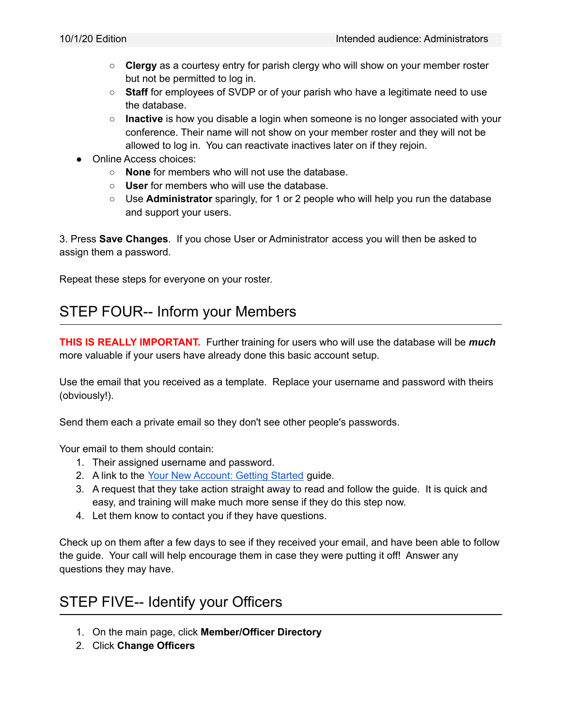- **Clergy** as a courtesy entry for parish clergy who will show on your member roster but not be permitted to log in.
- **Staff** for employees of SVDP or of your parish who have a legitimate need to use the database.
- **Inactive** is how you disable a login when someone is no longer associated with your conference. Their name will not show on your member roster and they will not be allowed to log in. You can reactivate inactives later on if they rejoin.
- Online Access choices:
	- **None** for members who will not use the database.
	- **User** for members who will use the database.
	- Use **Administrator** sparingly, for 1 or 2 people who will help you run the database and support your users.

3. Press **Save Changes**. If you chose User or Administrator access you will then be asked to assign them a password.

Repeat these steps for everyone on your roster.

### STEP FOUR-- Inform your Members

**THIS IS REALLY IMPORTANT.** Further training for users who will use the database will be *much* more valuable if your users have already done this basic account setup.

Use the email that you received as a template. Replace your username and password with theirs (obviously!).

Send them each a private email so they don't see other people's passwords.

Your email to them should contain:

- 1. Their assigned username and password.
- 2. A link to the Your New [Account:](https://drive.google.com/open?id=1yjGyhyu_urMqEnVmxoz3sDbReovURNHCaZipahuyjjc) Getting Started guide.
- 3. A request that they take action straight away to read and follow the guide. It is quick and easy, and training will make much more sense if they do this step now.
- 4. Let them know to contact you if they have questions.

Check up on them after a few days to see if they received your email, and have been able to follow the guide. Your call will help encourage them in case they were putting it off! Answer any questions they may have.

### STEP FIVE-- Identify your Officers

- 1. On the main page, click **Member/Officer Directory**
- 2. Click **Change Officers**